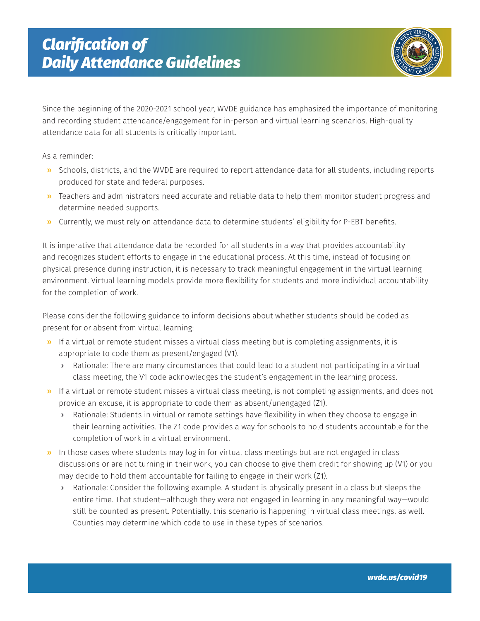

Since the beginning of the 2020-2021 school year, WVDE guidance has emphasized the importance of monitoring and recording student attendance/engagement for in-person and virtual learning scenarios. High-quality attendance data for all students is critically important.

As a reminder:

- » Schools, districts, and the WVDE are required to report attendance data for all students, including reports produced for state and federal purposes.
- » Teachers and administrators need accurate and reliable data to help them monitor student progress and determine needed supports.
- » Currently, we must rely on attendance data to determine students' eligibility for P-EBT benefits.

It is imperative that attendance data be recorded for all students in a way that provides accountability and recognizes student efforts to engage in the educational process. At this time, instead of focusing on physical presence during instruction, it is necessary to track meaningful engagement in the virtual learning environment. Virtual learning models provide more flexibility for students and more individual accountability for the completion of work.

Please consider the following guidance to inform decisions about whether students should be coded as present for or absent from virtual learning:

- » If a virtual or remote student misses a virtual class meeting but is completing assignments, it is appropriate to code them as present/engaged (V1).
	- › Rationale: There are many circumstances that could lead to a student not participating in a virtual class meeting, the V1 code acknowledges the student's engagement in the learning process.
- » If a virtual or remote student misses a virtual class meeting, is not completing assignments, and does not provide an excuse, it is appropriate to code them as absent/unengaged (Z1).
	- › Rationale: Students in virtual or remote settings have flexibility in when they choose to engage in their learning activities. The Z1 code provides a way for schools to hold students accountable for the completion of work in a virtual environment.
- » In those cases where students may log in for virtual class meetings but are not engaged in class discussions or are not turning in their work, you can choose to give them credit for showing up (V1) or you may decide to hold them accountable for failing to engage in their work (Z1).
	- › Rationale: Consider the following example. A student is physically present in a class but sleeps the entire time. That student—although they were not engaged in learning in any meaningful way—would still be counted as present. Potentially, this scenario is happening in virtual class meetings, as well. Counties may determine which code to use in these types of scenarios.